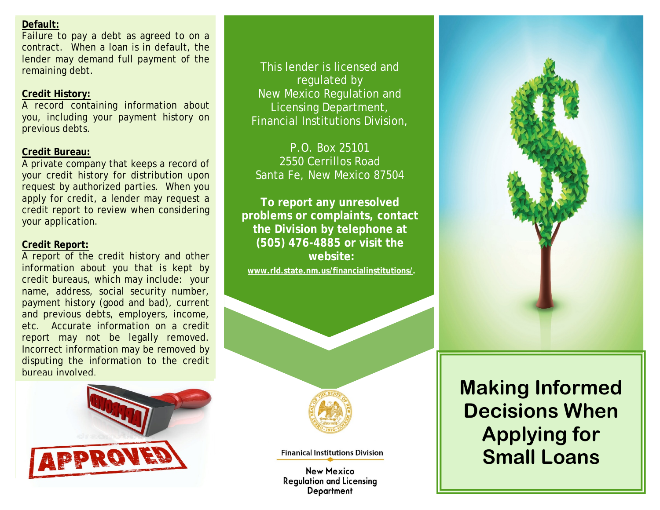## **Default:**

Failure to pay a debt as agreed to on a contract. When a loan is in default, the lender may demand full payment of the remaining debt.

# **Credit History:**

A record containing information about you, including your payment history on previous debts.

## **Credit Bureau:**

A private company that keeps a record of your credit history for distribution upon request by authorized parties. When you apply for credit, a lender may request a credit report to review when considering your application.

## **Credit Report:**

A report of the credit history and other information about you that is kept by credit bureaus, which may include: your name, address, social security number, payment history (good and bad), current and previous debts, employers, income, etc. Accurate information on a credit report may not be legally removed. Incorrect information may be removed by disputing the information to the credit bureau involved.



This lender is licensed and regulated by New Mexico Regulation and Licensing Department, Financial Institutions Division,

P.O. Box 25101 2550 Cerrillos Road Santa Fe, New Mexico 87504

**To report any unresolved problems or complaints, contact the Division by telephone at (505) 476-4885 or visit the website:** 

**[www.rld.state.nm.us/financialinstitutions/.](http://www.rld.state.nm.us/financialinstitutions/)**



**Finanical Institutions Division** 

**New Mexico Regulation and Licensing** Department



# **Making Informed Decisions When Applying for Small Loans**